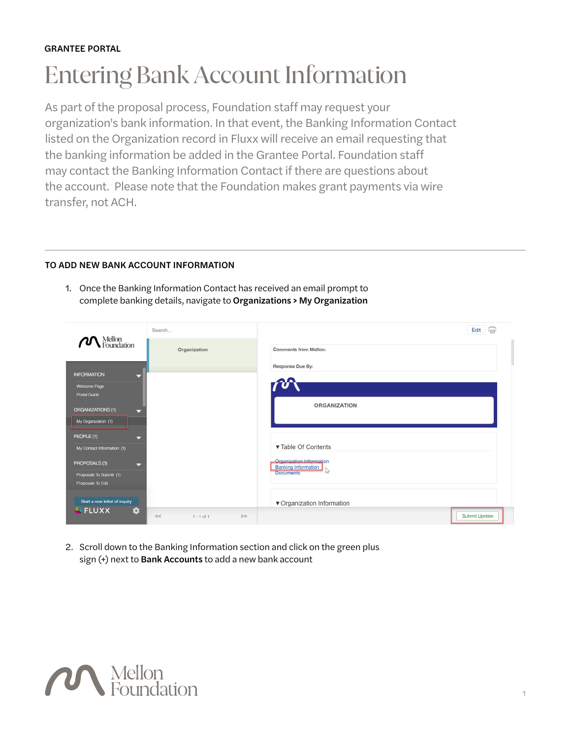## GRANTEE PORTAL

## Entering Bank Account Information

As part of the proposal process, Foundation staff may request your organization's bank information. In that event, the Banking Information Contact listed on the Organization record in Fluxx will receive an email requesting that the banking information be added in the Grantee Portal. Foundation staff may contact the Banking Information Contact if there are questions about the account. Please note that the Foundation makes grant payments via wire transfer, not ACH.

## TO ADD NEW BANK ACCOUNT INFORMATION

1. Once the Banking Information Contact has received an email prompt to complete banking details, navigate to Organizations > My Organization

|                                              | Search                      | Edit                                                   |
|----------------------------------------------|-----------------------------|--------------------------------------------------------|
| Mellon<br>• Foundation                       | Organization                | <b>Comments from Mellon:</b>                           |
|                                              |                             | Response Due By:                                       |
| <b>INFORMATION</b><br>Welcome Page           |                             |                                                        |
| Portal Guide                                 |                             | <b>ORGANIZATION</b>                                    |
| <b>ORGANIZATIONS (1)</b><br>≂                |                             |                                                        |
| My Organization (1)                          |                             |                                                        |
| PEOPLE (1)<br>≂                              |                             |                                                        |
| My Contact Information (1)                   |                             | ▼ Table Of Contents                                    |
| PROPOSALS (3)<br>$\overline{\phantom{0}}$    |                             | Organization Information<br><b>Banking Information</b> |
| Proposals To Submit (1)<br>Proposals To Edit |                             | <b>Documents</b>                                       |
|                                              |                             |                                                        |
| Start a new letter of inquiry                |                             | ▼ Organization Information                             |
| $\bigoplus$ FLUXX<br>۰                       | $\gg$<br>44<br>$1 - 1$ of 1 | Submit Update                                          |

2. Scroll down to the Banking Information section and click on the green plus sign (+) next to Bank Accounts to add a new bank account